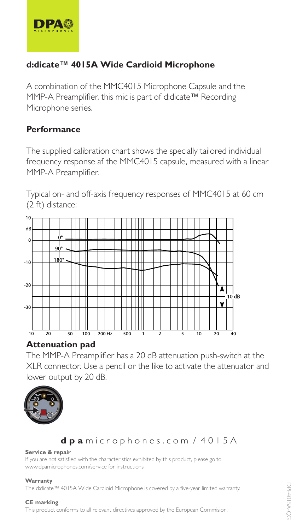

## **d:dicate™ 4015A Wide Cardioid Microphone -)\*.:Pb]^<Zk]bhb]Fb\khiahg^**

A combination of the MMC4015 Microphone Capsule and the MMP-A Preamplifier, this mic is part of d:dicate™ Recording Microphone series. The  $\frac{1}{\sqrt{2}}$  $F_{\rm eff}$  is the contract of the point of the point  $\Delta$  is the contract of the point  $\Delta$ 

# $Performance$

The supplied calibration chart shows the specially tailored individual Frequency response af the MMC4015 capsule, measured with a linear frequency response af the MMC4015 capsule, measured with a linear MMP-A Preamplifier. for  $\eta$   $\gamma$  and  $\alpha$  is  $\alpha$  is positive.

Typical on- and off-axis frequency responses of MMC4015 at 60 cm  $(2 \text{ ft})$  distance:



#### $\bm{\mathsf{Attention}}$  pad

The MMP-A Preamplifier has a 20 dB attenuation push-switch at the XLR connector. Use a pencil or the like to activate the attenuator and lower output by 20 dB.  $\mathcal{L}^\infty$ 



### dpamicrophones.com / 4015A

#### **Service & repair**

**Service & repair**<br>If you are not satisfied with the characteristics exhibited by this product, please go to www.dpamicrophones.com/service for instructions.  $\ldots$ m $\ldots$ a $\ldots$ 

#### **Warranty L^kob\^k^iZbk L^kob\^k^iZbk**  $Warrant y$

**warranty**<br>The d:dicate™ 4015A Wide Cardioid Microphone is covered by a five-year limited warranty.  $p$  is the distribution  $\mathcal{L}$ 

#### **CE marking PZkkZgmr**

This product conforms to all relevant directives approved by the European Commision. -)\*.:bl\ho^k^][rZÖo^&r^Zkebfbm^]pZkkZgmr' **PZkkZgmr** -)\*.:bl\ho^k^][rZÖo^&r^Zkebfbm^]pZkkZgmr'